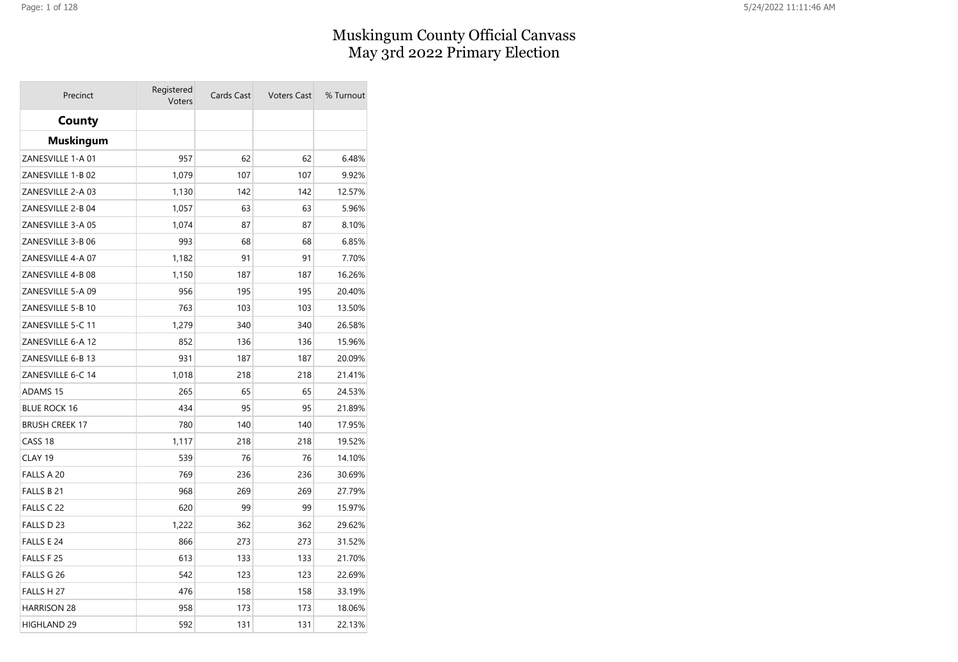## Muskingum County Official Canvass May 3rd 2022 Primary Election

| Precinct              | Registered<br>Voters | Cards Cast | <b>Voters Cast</b> | % Turnout |
|-----------------------|----------------------|------------|--------------------|-----------|
| <b>County</b>         |                      |            |                    |           |
| <b>Muskingum</b>      |                      |            |                    |           |
| ZANESVILLE 1-A 01     | 957                  | 62         | 62                 | 6.48%     |
| ZANESVILLE 1-B 02     | 1,079                | 107        | 107                | 9.92%     |
| ZANESVILLE 2-A 03     | 1,130                | 142        | 142                | 12.57%    |
| ZANESVILLE 2-B 04     | 1,057                | 63         | 63                 | 5.96%     |
| ZANESVILLE 3-A 05     | 1,074                | 87         | 87                 | 8.10%     |
| ZANESVILLE 3-B 06     | 993                  | 68         | 68                 | 6.85%     |
| ZANESVILLE 4-A 07     | 1,182                | 91         | 91                 | 7.70%     |
| ZANESVILLE 4-B 08     | 1,150                | 187        | 187                | 16.26%    |
| ZANESVILLE 5-A 09     | 956                  | 195        | 195                | 20.40%    |
| ZANESVILLE 5-B 10     | 763                  | 103        | 103                | 13.50%    |
| ZANESVILLE 5-C 11     | 1,279                | 340        | 340                | 26.58%    |
| ZANESVILLE 6-A 12     | 852                  | 136        | 136                | 15.96%    |
| ZANESVILLE 6-B 13     | 931                  | 187        | 187                | 20.09%    |
| ZANESVILLE 6-C 14     | 1,018                | 218        | 218                | 21.41%    |
| <b>ADAMS 15</b>       | 265                  | 65         | 65                 | 24.53%    |
| <b>BLUE ROCK 16</b>   | 434                  | 95         | 95                 | 21.89%    |
| <b>BRUSH CREEK 17</b> | 780                  | 140        | 140                | 17.95%    |
| CASS <sub>18</sub>    | 1,117                | 218        | 218                | 19.52%    |
| CLAY 19               | 539                  | 76         | 76                 | 14.10%    |
| FALLS A 20            | 769                  | 236        | 236                | 30.69%    |
| FALLS B 21            | 968                  | 269        | 269                | 27.79%    |
| FALLS C 22            | 620                  | 99         | 99                 | 15.97%    |
| FALLS D 23            | 1,222                | 362        | 362                | 29.62%    |
| FALLS E 24            | 866                  | 273        | 273                | 31.52%    |
| FALLS F 25            | 613                  | 133        | 133                | 21.70%    |
| FALLS G 26            | 542                  | 123        | 123                | 22.69%    |
| FALLS H 27            | 476                  | 158        | 158                | 33.19%    |
| <b>HARRISON 28</b>    | 958                  | 173        | 173                | 18.06%    |
| HIGHLAND 29           | 592                  | 131        | 131                | 22.13%    |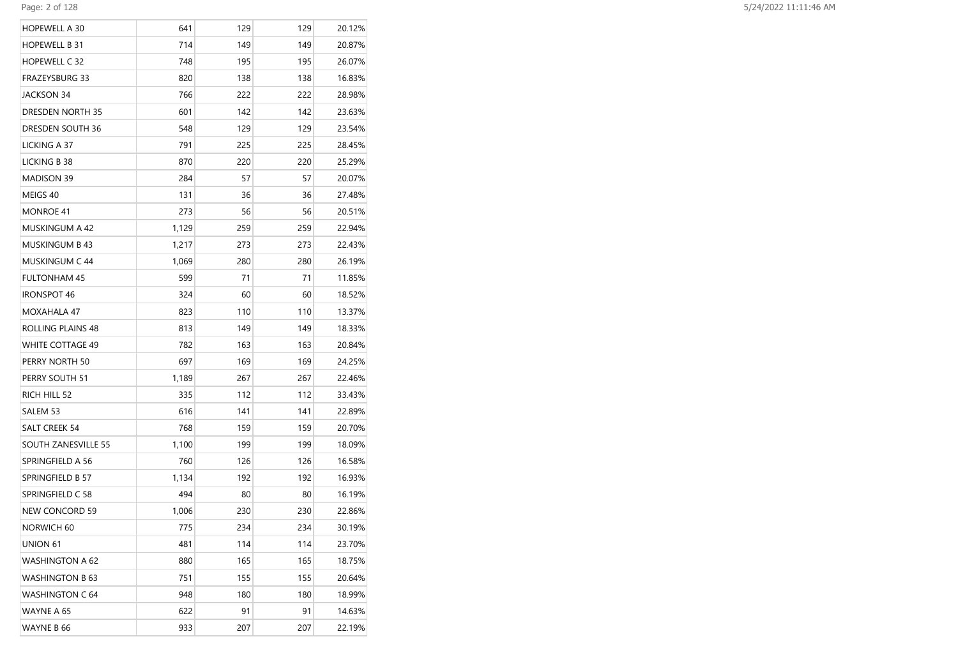| HOPEWELL A 30          | 641   | 129 | 129 | 20.12% |
|------------------------|-------|-----|-----|--------|
| HOPEWELL B 31          | 714   | 149 | 149 | 20.87% |
| HOPEWELL C 32          | 748   | 195 | 195 | 26.07% |
| FRAZEYSBURG 33         | 820   | 138 | 138 | 16.83% |
| JACKSON 34             | 766   | 222 | 222 | 28.98% |
| DRESDEN NORTH 35       | 601   | 142 | 142 | 23.63% |
| DRESDEN SOUTH 36       | 548   | 129 | 129 | 23.54% |
| LICKING A 37           | 791   | 225 | 225 | 28.45% |
| LICKING B 38           | 870   | 220 | 220 | 25.29% |
| <b>MADISON 39</b>      | 284   | 57  | 57  | 20.07% |
| MEIGS 40               | 131   | 36  | 36  | 27.48% |
| MONROE 41              | 273   | 56  | 56  | 20.51% |
| MUSKINGUM A 42         | 1,129 | 259 | 259 | 22.94% |
| <b>MUSKINGUM B 43</b>  | 1,217 | 273 | 273 | 22.43% |
| MUSKINGUM C 44         | 1,069 | 280 | 280 | 26.19% |
| <b>FULTONHAM 45</b>    | 599   | 71  | 71  | 11.85% |
| IRONSPOT 46            | 324   | 60  | 60  | 18.52% |
| MOXAHALA 47            | 823   | 110 | 110 | 13.37% |
| ROLLING PLAINS 48      | 813   | 149 | 149 | 18.33% |
| WHITE COTTAGE 49       | 782   | 163 | 163 | 20.84% |
| PERRY NORTH 50         | 697   | 169 | 169 | 24.25% |
| PERRY SOUTH 51         | 1,189 | 267 | 267 | 22.46% |
| RICH HILL 52           | 335   | 112 | 112 | 33.43% |
| SALEM 53               | 616   | 141 | 141 | 22.89% |
| SALT CREEK 54          | 768   | 159 | 159 | 20.70% |
| SOUTH ZANESVILLE 55    | 1,100 | 199 | 199 | 18.09% |
| SPRINGFIELD A 56       | 760   | 126 | 126 | 16.58% |
| SPRINGFIELD B 57       | 1,134 | 192 | 192 | 16.93% |
| SPRINGFIELD C 58       | 494   | 80  | 80  | 16.19% |
| NEW CONCORD 59         | 1,006 | 230 | 230 | 22.86% |
| NORWICH 60             | 775   | 234 | 234 | 30.19% |
| UNION 61               | 481   | 114 | 114 | 23.70% |
| WASHINGTON A 62        | 880   | 165 | 165 | 18.75% |
| <b>WASHINGTON B 63</b> | 751   | 155 | 155 | 20.64% |
| WASHINGTON C 64        | 948   | 180 | 180 | 18.99% |
| WAYNE A 65             | 622   | 91  | 91  | 14.63% |
| WAYNE B 66             | 933   | 207 | 207 | 22.19% |